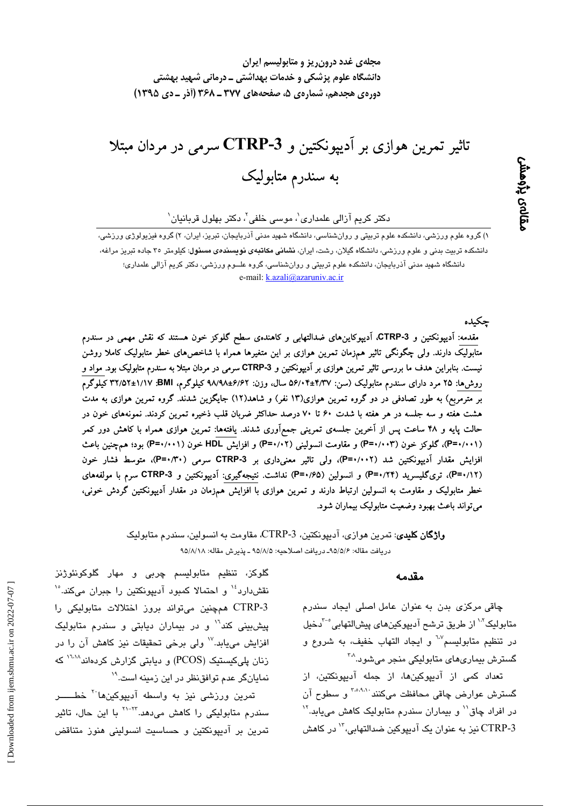تاثیر تمرین هوازی بر اَدیپونکتین و CTRP-3 سرمی در مردان مبتلا به سندرم متابولیک

 $\cdot$ دکتر کریم آزالی علمداری $\cdot$ ، موسی خلفی $\cdot$ ، دکتر بهلول قربانیان

۱) گروه علوم ورزشی، دانشکده علوم تربیتی و روانشناسی، دانشگاه شهید مدنی آذربایجان، تبریز، ایران، ۲) گروه فیزیولوژی ورزشی، دانشکده تربیت بدنی و علوم ورزشی، دانشگاه گیلان، رشت، ایران، **نشانی مکاتبهی نویسند***هی* **مسئول**: کیلومتر ۳۵ جاده تبریز مراغه، دانشگاه شهید مدنی آذربایجان، دانشکده علوم تربیتی و روانشناسی، گروه علــوم ورزشی، دکتر کریم آزالی علمداری؛ e-mail: k.azali@azaruniv.ac.ir

جكىدە

ىقالەى پڑەھش

مقدمه: اَدیپونکتین و CTRP-3، اَدیپوکاینِهای ضدالتهابی و کاهندهی سطح گلوکز خون هستند که نقش مهمی در سندرم متابولیک دارند. ولی چگونگی تاثیر همزمان تمرین هوازی بر این متغیرها همراه با شاخصهای خطر متابولیک کاملا روشن نیست. بنابراین هدف ما بررسی تاثیر تمرین هوازی بر اَدیپونکتین و CTRP-3 سرمی در مردان مبتلا به سندرم متابولیک بود. مواد و روشها: ۲۵ مرد دارای سندرم متابولیک (سن: ۵۶/۰۴±۴/۳۷ سال، وزن: ۶/۹/4L+۶/۶۲ کیلوگرم، BMI: ۱/۱۷±۳۲/۵۲ کیلوگرم بر مترمربع) به طور تصادفی در دو گروه تمرین هوازی(۱۳ نفر) و شاهد(۱۲) جایگزین شدند. گروه تمرین هوازی به مدت هشت هفته و سه جلسه در هر هفته با شدت ۶۰ تا ۷۰ درصد حداکثر ضربان قلب ذخیره تمرین کردند. نمونههای خون در حالت پایه و ۴۸ ساعت پس از آخرین جلسهی تمرینی جمعآوری شدند. یافتهها: تمرین هوازی همراه با کاهش دور کمر (P=٠/٠٠١)، گلوکز خون (P=٠/٠٠٣) و مقاومت انسولینی (P=٠/٠٢) و افزایش HDL خون (P=۰/۰۰۱) بود؛ همچنین باعث افزایش مقدار آدیپونکتین شد (P=۰/۰۰۲)، ولی تاثیر معنیداری بر CTRP-3 سرمی (P=۰/۳۰)، متوسط فشار خون (P=۱/۱۲)، تریگلیسرید (P=۱/۲۴) و انسولین (P=۱/۶۵) نداشت. نتیجهگیری: اَدیپونکتین و CTRP-3 سرم با مولفههای خطر متابولیک و مقاومت به انسولین ارتباط دارند و تمرین هوازی با افزایش همزمان در مقدار آدیپونکتین گردش خونی، مي تواند باعث بهبود وضعيت متابوليک بيماران شود.

> **واژگان کلیدی**: تمرین هوازی، آدیپونکتین، 3-CTRP، مقاومت به انسولین، سندرم متابولیک دريافت مقاله: ٩٥/٥/٤- دريافت اصلاحيه: ٩٥/٨/٥ ـ يذيرش مقاله: ٩٥/٨/١٨

#### مقدمه

چاقی مرکزی بدن به عنوان عامل اصلی ایجاد سندرم متابوليک<sup>71</sup> از طريق ترشح آديپوکينهای پيشالتهابي<sup>5-</sup>دخيل در تنظیم متابولیسم<sup>17</sup> و ایجاد التهاب خفیف، به شروع و گسترش بيماريهاي متابوليکي منجر مي شود.<sup>۳۸</sup>

تعداد کمی از آدیپوکینها، از جمله آدیپونکتین، از گسترش عوارض چاقی محافظت میکنند<sup>. ۲٬۵٬۹</sup>۱ و سطوح آن در افراد چاق<sup>۱٬</sup> و بیماران سندرم متابولیک کاهش می،یابد.<sup>۱٬</sup> 3-CTRP نيز به عنوان يک آديپوکين ضدالتهابي، `` در کاهش

گلوکز، تنظیم متابولیسم چربی و مهار گلوکونئوژنز نقش،دارد<sup>، ۱۶</sup> و احتمالا کمبود آدیپونکتین را جبران میکند.<sup>۱</sup>° CTRP-3 همچنین میتواند بروز اختلالات متابولیکی را ییش بینی کند<sup>۱٬</sup> و در بیماران دیابتی و سندرم متابولیک افزایش مییابد.<sup>۱۷</sup> ولی برخی تحقیقات نیز کاهش آن را در زنان پلیکیستیک (PCOS) و دیابتی گزارش کردهاند<sup>۱٬۱۰۸</sup> که نمایانگر عدم توافقنظر در این زمینه است.<sup>۱۹</sup>

تمرین ورزشی نیز به واسطه آدیپوکینها<sup>۲۰</sup> خطــــــــر سندرم متابولیکی را کاهش میدهد.<sup>۲۲-۲۲</sup> با این حال، تاثیر تمرین بر آدیپونکتین و حساسیت انسولینی هنوز متناقض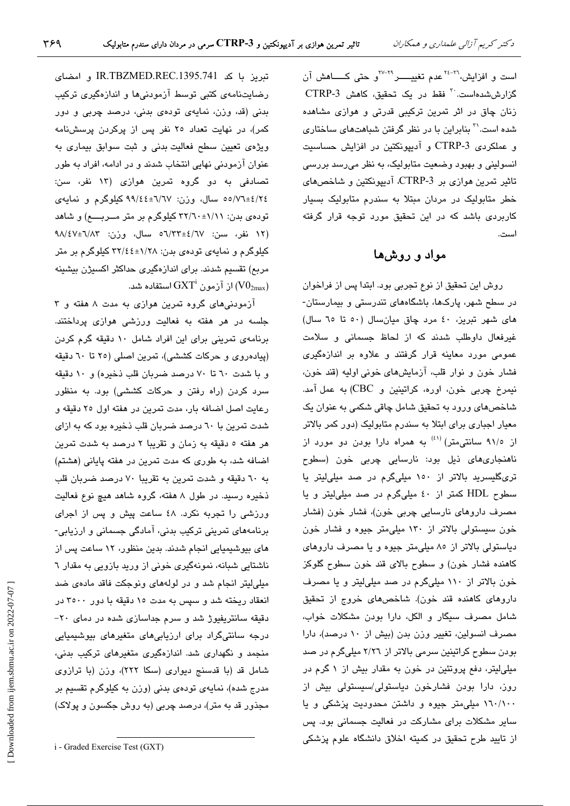است و افزایش،<sup>۲۲-۲۶</sup> عدم تغییــــــر<sup>۲۹-۲۷</sup>و حتی کـــــاهش آن گزارششدهاست.<sup>۳۰</sup> فقط در یک تحقیق، کاهش CTRP-3 زنان چاق در اثر تمرین ترکیبی قدرتی و هوازی مشاهده شده است.<sup>۳۱</sup> بنابراین با در نظر گرفتن شباهتها*ی* ساختار*ی* و عملکردی CTRP-3 و آدیپونکتین در افزایش حساسیت انسولینی و بهبود وضعیت متابولیک، به نظر میرسد بررسی تاثیر تمرین هوازی بر CTRP-3، آدیپونکتین و شاخصهای خطر متابولیک در مردان مبتلا به سندرم متابولیک بسیار کاربردی باشد که در این تحقیق مورد توجه قرار گرفته است.

## مواد و روشها

روش این تحقیق از نوع تجربی بود. ابتدا پس از فراخوان در سطح شهر، پارکها، باشگاههای تندرستی و بیمارستان-های شهر تبریز، ٤٠ مرد چاق میانسال (٥٠ تا ٦٥ سال) غیرفعال داوطلب شدند که از لحاظ جسمانی و سلامت عمومی مورد معاینه قرار گرفتند و علاوه بر اندازهگیری فشار خون و نوار قلب، آزمایشهای خونی اولیه (قند خون، نيمرخ چربي خون، اوره، كراتينين و CBC) به عمل آمد. شاخصهای ورود به تحقیق شامل چاقی شکمی به عنوان یک معیار اجباری برای ابتلا به سندرم متابولیک (دور کمر بالاتر از ۹۱/۰ سانتی،متر) <sup>(٤١)</sup> به همراه دارا بودن دو مورد از ناھنجارىھاى ذيل بود: نارسايى چربى خون (سطوح تریگلیسرید بالاتر از ۱۵۰ میلیگرم در صد میلیلیتر یا سطوح HDL کمتر از ٤٠ ميليگرم در صد ميلي ليتر و يا مصرف داروهای نارسایی چربی خون)، فشار خون (فشار خون سیستولی بالاتر از ۱۳۰ میلی متر جیوه و فشار خون دیاستولی بالاتر از ۸۰ میلی متر جیوه و یا مصرف داروهای كاهنده فشار خون) و سطوح بالاي قند خون سطوح گلوكز خون بالاتر از ۱۱۰ میلیگرم در صد میلی لیتر و یا مصرف داروهای کاهنده قند خون). شاخصهای خروج از تحقیق شامل مصرف سیگار و الکل، دارا بودن مشکلات خواب، مصرف انسولین، تغییر وزن بدن (بیش از ١٠ درصد)، دارا بودن سطوح کراتینین سرمی بالاتر از ۲/۲٦ میلیگرم در صد میلی لیتر، دفع پروتئین در خون به مقدار بیش از ۱ گرم در روز، دارا بودن فشارخون دیاستولی/سیستولی بیش از ١٦٠/١٠٠ میلی متر جیوه و داشتن محدودیت پزشکی و یا سایر مشکلات برای مشارکت در فعالیت جسمانی بود. پس از تایید طرح تحقیق در کمیته اخلاق دانشگاه علوم پزشکی

تبریز با کد IR.TBZMED.REC.1395.741 و امضای رضایتنامهی کتبی توسط آزمودنیها و اندازهگیری ترکیب بدنی (قد، وزن، نمایهی تودهی بدنی، درصد چربی و دور کمر)، در نهایت تعداد ۲۰ نفر پس از پرکردن پرسشنامه ویژهی تعیین سطح فعالیت بدنی و ثبت سوابق بیماری به عنوان آزمودنی نهایی انتخاب شدند و در ادامه، افراد به طور تصادفی به دو گروه تمرین هوازی (۱۳ نفر، سن: ٤/٢٤±١/٧٦ه سال، وزن: ٦٧/٤٤±١٩/٤٢ كيلوگرم و نمايهى تودهی بدن: ۱//۱+۲۲/۱۰ کیلوگرم بر متر مــربــــم) و شاهد /١٢ نفر، سن: ٦٧/٢٣±٤/٦٧ سال، وزن: ٩٨/٤٧±٩٨/٤٧ کیلوگرم و نمایهی تودهی بدن: ۱/۲۸±۲۲/٤٤ کیلوگرم بر متر مربع) تقسیم شدند. برای اندازهگیری حداکثر اکسیژن بیشینه از آزمون  $\operatorname{GXT}^{\mathrm{i}}$  استفاده شد.  $(\mathrm{V0}_{2\mathrm{max}})$ 

آزمودنی های گروه تمرین هوازی به مدت ۸ هفته و ۳ جلسه در هر هفته به فعالیت ورزشی هوازی پرداختند. برنامهی تمرینی برای این افراد شامل ۱۰ دقیقه گرم کردن (پیادهروی و حرکات کششی)، تمرین اصلی (۲۰ تا ٦٠ دقیقه و با شدت ٦٠ تا ٧٠ درصد ضربان قلب ذخيره) و ١٠ دقيقه سرد کردن (راه رفتن و حرکات کششی) بود. به منظور رعايت اصل اضافه بار، مدت تمرين در هفته اول ٢٥ دقيقه و شدت تمرین با ٦٠ درصد ضربان قلب ذخیره بود که به ازای هر هفته ٥ دقیقه به زمان و تقریبا ٢ درصد به شدت تمرین اضافه شد، به طوری که مدت تمرین در هفته پایانی (هشتم) به ٦٠ دقيقه و شدت تمرين به تقريبا ٧٠ درصد ضربان قلب ذخیره رسید. در طول ۸ هفته، گروه شاهد هیچ نوع فعالیت ورزشی را تجربه نکرد. ٤٨ ساعت پیش و پس از اجرای برنامههای تمرینی ترکیب بدنی، آمادگی جسمانی و ارزیابی-های بیوشیمیایی انجام شدند. بدین منظور، ۱۲ ساعت پس از ناشتایی شبانه، نمونهگیری خونی از ورید بازویی به مقدار ٦ میلی لیتر انجام شد و در لولههای ونوجکت فاقد مادهی ضد انعقاد ریخته شد و سپس به مدت ١٥ دقیقه با دور ٣٥٠٠ در دقیقه سانتریفیوژ شد و سرم جداسازی شده در دمای ۲۰-درجه سانتیگراد برای ارزیابی های متغیرهای بیوشیمیایی منجمد و نگهداری شد. اندازهگیری متغیرهای ترکیب بدنی، شامل قد (با قدسنج دیواری (سکا ۲۲۲)، وزن (با ترازوی مدرج شده)، نمایهی تودهی بدنی (وزن به کیلوگرم تقسیم بر مجذور قد به متر)، درصد چربی (به روش جکسون و پولاک)

i - Graded Exercise Test (GXT)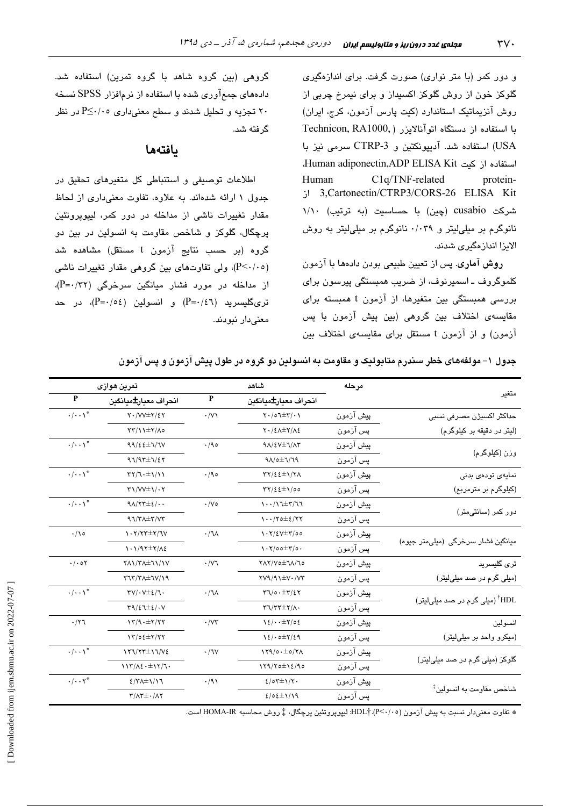و دور کمر (با متر نواری) صورت گرفت. برای اندازهگیری گلوکز خون از روش گلوکز اکسیداز و برای نیمرخ چربی از روش آنزیماتیک استاندارد (کیت پارس آزمون، کرج، ایران) با استفاده از دستگاه اتوآنالایزر ( Technicon, RA1000, USA) استفاده شد. آدیپونکتین و CTRP-3 سرمی نیز با استغاده از کتب Human adiponectin,ADP ELISA Kit C1q/TNF-related protein-Human 3, Cartonectin/CTRP3/CORS-26 ELISA Kit شرکت cusabio (چین) با حساسیت (به ترتیب)) نانوگرم بر میلیلیتر و ۰/۰۳۹ نانوگرم بر میلیلیتر به روش الایزا اندازهگیری شدند.

روش آماری. پس از تعیین طبیعی بودن دادهها با آزمون کلموگروف ـ اسمیرنوف، از ضریب همبستگی پیرسون برای بررسی همبستگی بین متغیرها، از آزمون t همبسته برای مقایسهی اختلاف بین گروهی (بین پیش آزمون با پس آزمون) و از آزمون t مستقل برای مقایسهی اختلاف بین

گروهی (بین گروه شاهد با گروه تمرین) استفاده شد. دادههای جمعآوری شده با استفاده از نرمافزار SPSS نسخه ۲۰ تجزیه و تحلیل شدند و سطح معنیداری ۲۰/۰۵ در نظر گرفته شد.

## بافتهها

اطلاعات توصيفي و استنباطي كل متغيرهاى تحقيق در جدول ١ ارائه شدهاند. به علاوه، تفاوت معنى دارى از لحاظ مقدار تغییرات ناشی از مداخله در دور کمر، لیپویروتئین پرچگال، گلوکز و شاخص مقاومت به انسولین در بین دو گروه (بر حسب نتایج آزمون t مستقل) مشاهده شد (P<۰/۰٥)، ولی تفاوتهای بین گروهی مقدار تغییرات ناشی از مداخله در مورد فشار میانگین سرخرگی (P=۰/۳۲)،  $(P = \cdot / \circ \xi)$  تری $\Delta$ لیسرید (P= $\cdot / \xi$ ) و انسولین (P= $\cdot / \circ$ )، در حد معنى دار نبودند.

|                                     | مرحله     | شاهد                                                                                                                                               |                       | تمرين هوازي                                                              |                               |  |
|-------------------------------------|-----------|----------------------------------------------------------------------------------------------------------------------------------------------------|-----------------------|--------------------------------------------------------------------------|-------------------------------|--|
| متغير                               |           | انحراف معيار±ميانگين                                                                                                                               | $\mathbf P$           | انحراف معيار±ميانگين                                                     | $\mathbf{P}$                  |  |
| حداکثر اکسیژن مصرفی نسبی            | پیش آزمون | $Y \cdot / \circ \mathcal{I} \pm Y / \cdot Y$                                                                                                      | $\cdot/\vee$          | $Y \cdot /VV^{\pm}Y/\Sigma Y$                                            | $\cdot/\cdot\cdot\uparrow^*$  |  |
| (لیتر در دقیقه بر کیلوگرم)          | يس آزمون  | $Y \cdot / \xi \wedge \pm Y / \Lambda \xi$                                                                                                         |                       | $\Upsilon\Upsilon/\Upsilon$ + $\Upsilon$                                 |                               |  |
|                                     | پیش آزمون | $9\Lambda$ /2V $\pm$ $7$ / $\Lambda$ ۳                                                                                                             | $\cdot$ /90           | 99/22±7/7V                                                               | $\cdot/\cdot\cdot\uparrow^*$  |  |
| وزن (کيلوگرم)                       | پس آزمون  | $9\Lambda/\circ \pm 7/79$                                                                                                                          |                       | $97/97 \pm 7/57$                                                         |                               |  |
| نمایە <i>ی</i> تودە <i>ی</i> بدنى   | بيش آزمون | $\tau\tau/\epsilon$ $\epsilon\pm\gamma/\tau\Lambda$                                                                                                | $\cdot$ /90           | $\Upsilon \Upsilon / \Upsilon \cdot \pm \Upsilon / \Upsilon$             | $\cdot/\cdot\cdot\setminus^*$ |  |
| (کیلوگرم بر مترمربع)                | پس آزمون  | $\Upsilon\Upsilon/\xi\bar{\xi} \pm 1/\sigma\sigma$                                                                                                 |                       | $\Upsilon\Upsilon/\Upsilon$ $\pm\Upsilon/\Upsilon$                       |                               |  |
| دور کمر (سانتی،متر)                 | پیش آزمون | $\cdots/\sqrt{1+\tau/7}$                                                                                                                           | $\cdot$ /Vo           | $9\Lambda/77\pm 2/4$                                                     | $\cdot/\cdot\cdot$ \*         |  |
|                                     | يس آزمون  | $\cdots$ / $\tau$ o $\pm$ $\epsilon$ / $\tau$ $\tau$                                                                                               |                       | $97/T\pm 7/VT$                                                           |                               |  |
| میانگین فشار سرخرگی (میلی متر جیوه) | پیش آزمون | $\frac{1}{\sqrt{2}}\frac{1}{\sqrt{2}}\frac{1}{\sqrt{2}}\frac{1}{\sqrt{2}}\frac{1}{\sqrt{2}}\frac{1}{\sqrt{2}}\frac{1}{\sqrt{2}}\frac{1}{\sqrt{2}}$ | $\cdot / \lambda$     | $\mathcal{N} \cdot \mathcal{V}/\mathcal{V} \neq \mathcal{V}/\mathcal{V}$ | $\cdot/\nu$                   |  |
|                                     | پس آزمون  | $\cdot \cdot \cdot / \circ \circ \pm \cdot / \circ \cdot$                                                                                          |                       | $\frac{1}{2}$                                                            |                               |  |
| تری گلیسرید                         | بيش آزمون | TAY/VOITA/TO                                                                                                                                       | $\cdot$ /V $\uparrow$ | <b>YA\/YA±\\/\V</b>                                                      | $\cdot/\cdot \circ \tau$      |  |
| (میلی گرم در صد میلیلیتر)           | پس آزمون  | $\Upsilon V \Upsilon / \Upsilon \pm V \cdot / V \Upsilon$                                                                                          |                       | $Y1Y/Y\rightarrow Y1Y\rightarrow$                                        |                               |  |
| ًاHDL (میلی گرم در صد میلیلیتر)     | پیش آزمون | $\tau\tau/\circ\cdot\pm\tau/\epsilon\tau$                                                                                                          | $\cdot/\sqrt{1}$      | $\Upsilon V/\cdot V \pm \Sigma / J \cdot$                                | $\cdot/\cdot\cdot\right)^*$   |  |
|                                     | يس آزمون  | $\Upsilon \Upsilon \Upsilon \Upsilon + \Upsilon \Lambda$                                                                                           |                       | $\Upsilon$ 9/27±2/. $V$                                                  |                               |  |
| انسولين                             | پیش آزمون | $12/\cdot + \pm 7/\circ 2$                                                                                                                         | $\cdot$ / $\vee\tau$  | $17/9. \pm 7/77$                                                         | .77                           |  |
| (میکرو واحد بر میلی لیتر)           | پس آزمون  | $12/0 \pm 7/29$                                                                                                                                    |                       | $17/02 \pm 7/77$                                                         |                               |  |
| گلوکز (میلی گرم در صد میلیلیتر)     | ييش آزمون | 179/0.0077                                                                                                                                         | $\cdot$ / $\vee$      | $177/T+17/V2$                                                            | $\cdot/\cdot\cdot$ \*         |  |
|                                     | پس آزمون  | $179/70 \pm 12/90$                                                                                                                                 |                       | $117/\lambda \epsilon \cdot \pm 17/\lambda \cdot$                        |                               |  |
|                                     | پیش آزمون | $2/07\pm1/7$ .                                                                                                                                     | .41                   | $2/7$ $\pm$ $\frac{1}{1}$                                                | $\cdot/\cdot\cdot\tau^*$      |  |
| شاخص مقاومت به انسولين‡             | يس آزمون  | $2/0.2\pm1/19$                                                                                                                                     |                       | $\Upsilon/\Lambda\Upsilon\pm\cdot/\Lambda\Upsilon$                       |                               |  |

جدول ۱– مولغههای خطر سندرم متابولیک و مقاومت به انسولین دو گروه در طول پیش آزمون و پس آزمون

\* تفاوت معنیدار نسبت به پیش آزمون (٢٠/٠٥).†HDL: لیپوپروتئین پرچگال، ‡ روش محاسبه HOMA-IR است.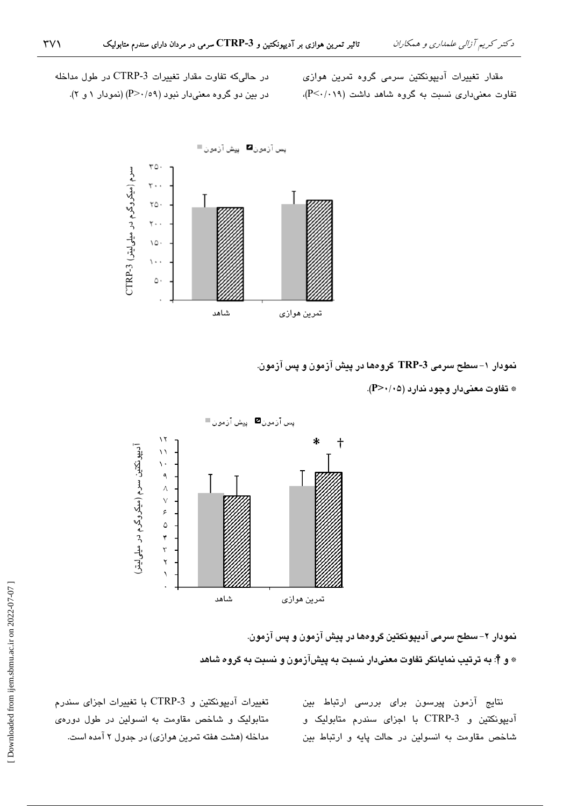مقدار تغییرات آدیپونکتین سرمی گروه تمرین هواز*ی*  $(P<\cdot/\cdot\,$ ۱۹) تفاوت معنی داری نسبت به گروه شاهد داشت

در حالیکه تفاوت مقدار تغییرات CTRP-3 در طول مداخله در بین دو گروه معنیدار نبود (P>٠/٥٩) (نمودار ١ و ٢).



نمودار ۱–سطح سرمی TRP-3 گروهها در پیش آزمون و پس آزمون.

\* تفاوت معنیدار وجود ندارد (P>۰/۰۵).



نمودار ۲– سطح سرمی آدیپونکتین گروهها در پیش آزمون و پس آزمون. \* و †: به ترتیب نمایانگر تفاوت معنیدار نسبت به پیشآزمون و نسبت به گروه شاهد

> نتایج آزمون پیرسون برای بررسی ارتباط بین آدیپونکتین و CTRP-3 با اجزای سندرم متابولیک و شاخص مقاومت به انسولین در حالت پایه و ارتباط بین

تغییرات آدیپونکتین و CTRP-3 با تغییرات اجزای سندرم متابولیک و شاخص مقاومت به انسولین در طول دورهی مداخله (هشت هفته تمرین هوازی) در جدول ۲ آمده است.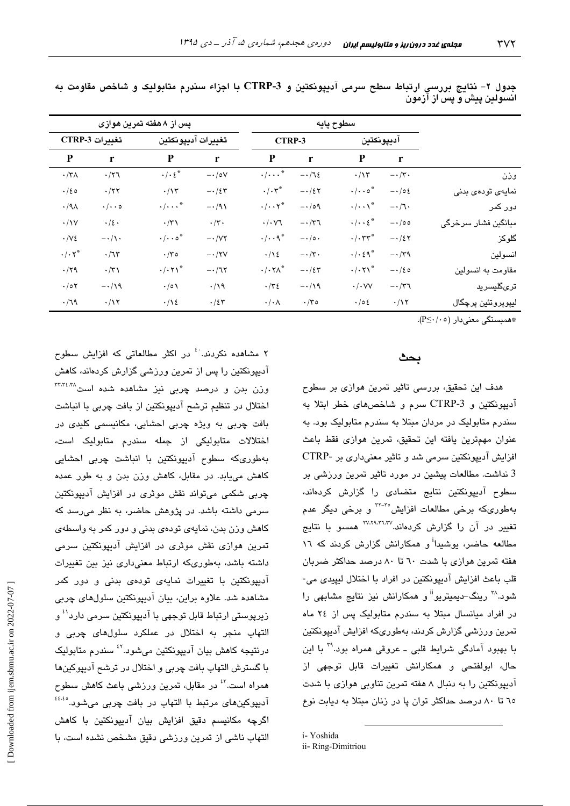|                     | سطوح پايه              |                                   |                            | پس از ۸ هفته تمرین هوازی         |                    |                                         |                      |                      |
|---------------------|------------------------|-----------------------------------|----------------------------|----------------------------------|--------------------|-----------------------------------------|----------------------|----------------------|
|                     | آديپونكتين             |                                   | CTRP-3                     |                                  | تغييرات آديپونكتين |                                         | تغييرات CTRP-3       |                      |
|                     | $\mathbf{r}$           | P                                 | $\mathbf{r}$               | P                                | r                  | ${\bf P}$                               | r                    | P                    |
| وزن                 | $-\cdot/\tau$ .        | $\cdot/\gamma$                    | $-\cdot/7\epsilon$         | $\cdot/\cdots$ $\cdot$           | $-\cdot/\circ V$   | $\cdot/\cdot\, \xi^*$                   | $\cdot$ /۲٦          | $\cdot$ /٣ $\wedge$  |
| نمايەي تودەي بدنى   | $-\cdot/\circ\epsilon$ | $\cdot/\cdot\cdot$ o <sup>*</sup> | $-\cdot/27$                | $\cdot/\cdot \tau^*$             | $-\cdot/2$ ۳       | $\cdot/\gamma$                          | $\cdot$ /۲۲          | $\cdot/20$           |
| دور کمر             | $-\cdot/7$ .           | $\cdot/\cdot\cdot$ \*             | $-\cdot/\circ \mathcal{A}$ | $\cdot/\cdot\cdot\mathsf{Y}^*$   | $-\cdot$ /9)       | $\cdot/\cdot\cdot^*$                    | $\cdot/\cdot\cdot$ 0 | $\cdot$ /9 $\wedge$  |
| میانگین فشار سرخرگی | $-\cdot/\circ \circ$   | $\cdot/\cdot\cdot\epsilon^*$      | $-\cdot/\tau$              | $\cdot/\cdot\vee$                | $\cdot/\tau$ .     | $\cdot$ /٣١                             | $\cdot/\xi$ .        | $\cdot$ / $\vee$     |
| گلوکز               | $-\cdot/27$            | $\cdot/\cdot \tau \tau^*$         | $-\cdot/\circ\cdot$        | $\cdot/\cdot\cdot$ ۹ $*$         | $- \cdot /VY$      | $\cdot/\cdot\cdot$ $\circ$ <sup>*</sup> | $-\cdot/\lambda$ .   | $\cdot$ / $\vee$ {   |
| انسولين             | $-\cdot/\tau$ ٩        | $\cdot/\cdot\zeta\gamma^*$        | $-\cdot/\tau$ .            | $\cdot/\gamma$                   | $-\cdot$ /۲۷       | $\cdot$ /٣٥                             | .77                  | $\cdot/\cdot \vee^*$ |
| مقاومت به انسولین   | $-\cdot/20$            | $\cdot/\cdot \wedge$              | $-\cdot/2$ ٣               | $\cdot/\cdot \mathsf{Y}\wedge^*$ | $-\cdot/77$        | $\cdot/\cdot \tau$                      | $\cdot$ /۳۱          | $\cdot$ /۲۹          |
| تر <i>ی</i> گلیسرید | $-\cdot/\tau$          | $\cdot/\cdot$ VV                  | $-\cdot/\sqrt{9}$          | $\cdot$ /٣٤                      | $\cdot/\gamma$     | $\cdot/\circ \wedge$                    | $-\cdot/\sqrt{9}$    | $\cdot$ /0۲          |
| ليپرپروتئين پرچگال  | $\cdot/\gamma$         | $\cdot$ /0 {                      | $\cdot$ /۳0                | $\cdot/\cdot \wedge$             | .75                | $\cdot/\gamma$                          | $\cdot/\gamma$       | .79                  |

جدول ۲- نتايج بررسي ارتباط سطح سرمي آدييونكتين و 3-CTRP با اجزاء سندرم متابوليک و شاخص مقاومت به انسولین پیش و پس از آزمون

\*همبستگی معنیدار (P≤۰/۰٥).

#### ىحث

هدف این تحقیق، بررسی تاثیر تمرین هوازی بر سطوح آدیپونکتین و CTRP-3 سرم و شاخصهای خطر ابتلا به سندرم متابولیک در مردان مبتلا به سندرم متابولیک بود. به عنوان مهمترين يافته اين تحقيق، تمرين هوازى فقط باعث افزایش آدیپونکتین سرمی شد و تاثیر معنیداری بر -CTRP 3 نداشت. مطالعات پیشین در مورد تاثیر تمرین ورزشی بر سطوح آدیپونکتین نتایج متضادی را گزارش کردهاند، بهطوریکه برخی مطالعات افزایش°<sup>۲۲-۲</sup> و برخی دیگر عدم <mark>تغیی</mark>ر در آن را گزارش کردهاند.<sup>۲۷،۲۹،۳۱،۳۷</sup> همسو با نتایج مطالعه حاضر، پوشیدا<sup>ن</sup>و همکارانش گزارش کردند که ۱۲ هفته تمرین هوازی با شدت ٦٠ تا ٨٠ درصد حداکثر ضربان قلب باعث افزايش آديپونكتين در افراد با اختلال ليپيدى مى-شود.<sup>۲۸</sup> رینگ–دیمیتریو<sup>ان</sup>و همکارانش نیز نتایج مشابهی را در افراد میانسال مبتلا به سندرم متابولیک پس از ٢٤ ماه تمرین ورزشی گزارش کردند، بهطوریکه افزایش آدیپونکتین با بھبود آمادگی شرایط قلبی ـ عروقی همراه بود.\*" با این حال، ابولفتحی و همکارانش تغییرات قابل توجهی از آدیپونکتین را به دنبال ۸ هفته تمرین تناوبی هوازی با شدت ٦٥ تا ٨٠ درصد حداكثر توان پا در زنان مبتلا به ديابت نوع

i-Yoshida

۲ مشاهده نکردند.<sup>.؛</sup> در اکثر مطالعاتی که افزایش سطوح آدیپونکتین را پس از تمرین ورزشی گزارش کردهاند، کاهش وزن بدن و درصد چربی نیز مشاهده شده است<sup>۳۳،۳،</sup>۳۸ اختلال در تنظیم ترشح آدیپونکتین از بافت چربی با انباشت بافت چربی به ویژه چربی احشایی، مکانیسمی کلیدی در اختلالات متابولیکی از جمله سندرم متابولیک است، بهطوریکه سطوح آدیپونکتین با انباشت چربی احشابی کاهش مییابد. در مقابل، کاهش وزن بدن و به طور عمده چربی شکمی میتواند نقش موثری در افزایش آدیپونکتین سرمی داشته باشد. در پژوهش حاضر، به نظر می رسد که کاهش وزن بدن، نمایهی تودهی بدنی و دور کمر به واسطهی تمرین هوازی نقش موثری در افزایش آدیپونکتین سرمی داشته باشد، بهطوریکه ارتباط معنیداری نیز بین تغییرات آدیپونکتین با تغییرات نمایهی تودهی بدنی و دور کمر مشاهده شد. علاوه براین، بیان آدیپونکتین سلولهای چربی زیرپوستے ارتباط قابل توجھے یا آدی<u>پونکتین سرم</u>ے دارد<sup>61</sup>و التهاب منجر به اختلال در عملکرد سلولهای چربی و درنتيجه کاهش بيان آديپونکتين ميشود.<sup>؟؛</sup> سندرم متابوليک يا گسترش التهاب يافت چربي و اختلال در ترشح آديپوكينها همراه است.<sup>۶۲</sup> در مقابل، تمرین ورزشی باعث کاهش سطوح آدیپوکینهای مرتبط با التهاب در بافت چربی میشود.<sup>483</sup> اگرچه مکانیسم دقیق افزایش بیان آدیپونکتین با کاهش التهاب ناشی از تمرین ورزشی دقیق مشخص نشده است، با

ii-Ring-Dimitriou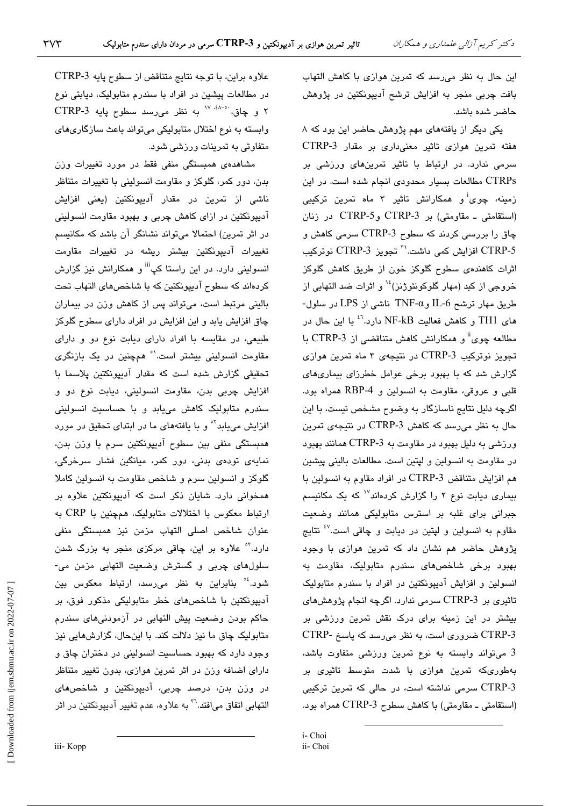این حال به نظر میرسد که تمرین هوازی با کاهش التهاب بافت چربی منجر به افزایش ترشح آدیپونکتین در پژوهش حاضر شده باشد.

یکی دیگر از یافتههای مهم پژوهش حاضر این بود که ۸ هفته تمرین هوازی تاثیر معنیداری بر مقدار CTRP-3 سرمی ندارد. در ارتباط با تاثیر تمرینهای ورزشی بر CTRPs مطالعات بسیار محدودی انجام شده است. در این زمینه، چوی<sup>i</sup>و همکارانش تاثیر ۳ ماه تمرین ترکیبی (استقامتی - مقاومتی) بر CTRP-5 وCTRP-5 در زنان چاق را بررسی کردند که سطوح CTRP-3 سرمی کاهش و CTRP-5 افزایش کمی داشت.<sup>\۳</sup> تجویز CTRP-3 نوترکیب اثرات کاهندهی سطوح گلوکز خون از طریق کاهش گلوکز خروجی از کبد (مهار گلوکونئوژنز)<sup>۱</sup>٬ و اثرات ضد التهابی از طریق مهار ترشح IL-6 وTNF-α ناشمی از LPS در سلول-های TH1 و کاهش فعالیت NF-kB دارد.<sup>۶٬</sup> با این حال در مطالعه چوی" و همکارانش کاهش متناقضمی از CTRP-3 با تجویز نوترکیب CTRP-3 در نتیجهی ۳ ماه تمرین هوازی گزارش شد که با بهبود برخی عوامل خطرزای بیماریهای قلبی و عروقی، مقاومت به انسولین و RBP-4 همراه بود. اگرچه دلیل نتایج ناسازگار به وضوح مشخص نیست، با این حال به نظر می رسد که کاهش CTRP-3 در نتیجهی تمرین ورزشی به دلیل بهبود در مقاومت به 3-CTRP همانند بهبود در مقاومت به انسولین و لپتین است. مطالعات بالینی پیشین هم افزایش متناقض CTRP-3 در افراد مقاوم به انسولین با بیماری دیابت نوع ۲ را گزارش کردهاند<sup>۱۷</sup> که یک مکانیسم جبرانی برای غلبه بر استرس متابولیکی همانند وضعیت مقاوم به انسولین و لپتین در دیابت و چاقی است.<sup>۶۷</sup> نتایج پژوهش حاضر هم نشان داد که تمرین هوازی با وجود بهبود برخی شاخصهای سندرم متابولیک، مقاومت به انسولین و افزایش آدیپونکتین در افراد با سندرم متابولیک تاثیری بر CTRP-3 سرمی ندارد. اگرچه انجام پژوهشهای بیشتر در این زمینه برای درک نقش تمرین ورزشی بر CTRP-3 ضروری است، به نظر میرسد که پاسخ -CTRP 3 میتواند وابسته به نوع تمرین ورزشی متفاوت باشد، بهطوریکه تمرین هوازی با شدت متوسط تاثیری بر CTRP-3 سرمی نداشته است، در حالی که تمرین ترکیبی (استقامتی ـ مقاومتی) با کاهش سطوح CTRP-3 همراه بود.

i- Choi ii- Choi

علاوه براين، با توجه نتايج متناقض از سطوح پايه CTRP-3 در مطالعات پیشین در افراد با سندرم متابولیک، دیابتی نوع ٢ و چاق، ١٧٠٠٠ ١٧ به نظر مي رسد سطوح يايه CTRP-3 وابسته به نوع اختلال متابولیکی میتواند باعث سازگاریهای متفاوتی به تمرینات ورزشی شود.

مشاهدهی همبستگی منفی فقط در مورد تغییرات وزن بدن، دور کمر، گلوکز و مقاومت انسولینی با تغییرات متناظر ناشی از تمرین در مقدار آدیپونکتین (یعنی افزایش آدیپونکتین در ازای کاهش چربی و بهبود مقاومت انسولینی در اثر تمرین) احتمالا میتواند نشانگر آن باشد که مکانیسم تغییرات آدیپونکتین بیشتر ریشه در تغییرات مقاومت انسولینی دارد. در این راستا کپ<sup>انن</sup>و همکارانش نیز گزارش كردهاند كه سطوح آديپونكتين كه با شاخص هاى التهاب تحت بالینی مرتبط است، میتواند پس از کاهش وزن در بیماران چاق افزایش یابد و این افزایش در افراد دارای سطوح گلوکز طبیعی، در مقایسه با افراد دارای دیابت نوع دو و دارای مقاومت انسولینی بیشتر است.<sup>۱</sup>° همچنین در یک بازنگر*ی* تحقیقی گزارش شده است که مقدار آدیپونکتین پلاسما با افزايش چربى بدن، مقاومت انسولينى، ديابت نوع دو و سندرم متابولیک کاهش مییابد و با حساسیت انسولینی افزایش مییابد<sup>۰۲</sup> و با یافتههای ما در ابتدای تحقیق در مورد همبستگی منفی بین سطوح آدیپونکتین سرم با وزن بدن، نمایەی تودەی بدنی، دور کمر، میانگین فشار سرخرگی، گلوکز و انسولین سرم و شاخص مقاومت به انسولین کاملا همخوانی دارد. شایان ذکر است که آدیپونکتین علاوه بر ارتباط معکوس با اختلالات متابولیک، همچنین با CRP به عنوان شاخص اصلی التهاب مزمن نیز همبستگی منفی دارد.<sup>۴</sup>° علاوه بر این، چاقی مرکزی منجر به بزرگ شدن سلولهای چربی و گسترش وضعیت التهابی مزمن می-شود.<sup>؛</sup>° بنابراین به نظر میرسد، ارتباط معکوس بین آدیپونکتین با شاخصهای خطر متابولیکی مذکور فوق، بر حاکم بودن وضعیت پیش التهابی در آزمودنیهای سندرم متابولیک چاق ما نیز دلالت کند. با اینحال، گزارشهایی نیز وجود دارد که بهبود حساسیت انسولینی در دختران چاق و دارای اضافه وزن در اثر تمرین هوازی، بدون تغییر متناظر در وزن بدن، درصد چربی، آدیپونکتین و شاخصهای التهابی اتفاق میافتد.<sup>۳</sup><sup>۲</sup> به علاوه، عدم تغییر آدیپونکتین در اثر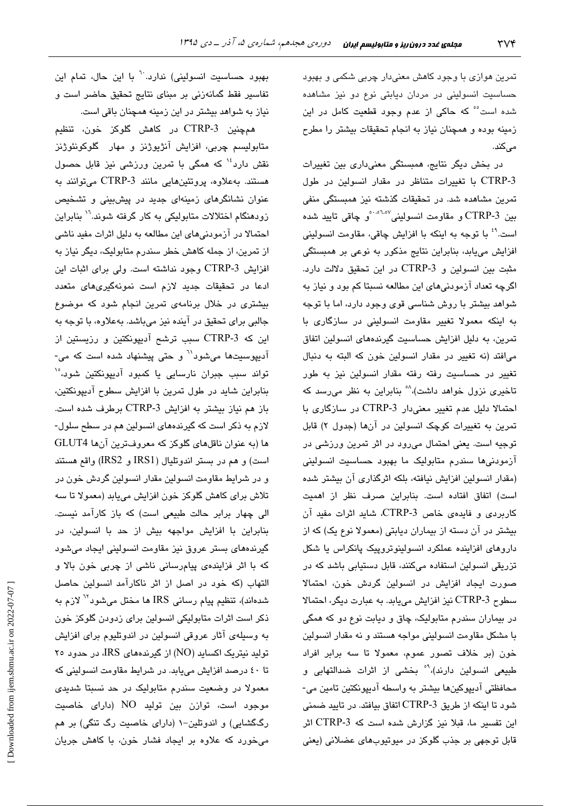تمرین هوازی با وجود کاهش معنیدار چربی شکمی و بهبود حساسیت انسولینی در مردان دیابتی نوع دو نیز مشاهده شده است°° که حاکی از عدم وجود قطعیت کامل در این زمینه بوده و همچنان نیاز به انجام تحقیقات بیشتر را مطرح مے کند.

در بخش دیگر نتایج، همبستگی معنیداری بین تغییرات CTRP-3 با تغییرات متناظر در مقدار انسولین در طول تمرین مشاهده شد. در تحقیقات گذشته نیز همبستگی منفی بین CTRP-3 و مقاومت انسولینی<sup>۱٬۵۱٬۵۷</sup>ٌو چاقی تایید شده است.<sup>۶۹</sup> با توجه به اینکه با افزایش چاقی، مقاومت انسولینی افزایش مییابد، بنابراین نتایج مذکور به نوعی بر همبستگی مثبت بين انسولين و CTRP-3 در اين تحقيق دلالت دارد. اگرچه تعداد آزمودنیهای این مطالعه نسبتا کم بود و نیاز به شواهد بیشتر با روش شناسی قوی وجود دارد، اما با توجه به اینکه معمولا تغییر مقاومت انسولینی در سازگاری با تمرین، به دلیل افزایش حساسیت گیرندههای انسولین اتفاق می افتد (نه تغییر در مقدار انسولین خون که البته به دنبال تغییر در حساسیت رفته رفته مقدار انسولین نیز به طور تاخیری نزول خواهد داشت)،<sup>۸</sup>° بنابراین به نظر میرسد که احتمالا دلیل عدم تغییر معنیدار CTRP-3 در سازگاری با تمرین به تغییرات کوچک انسولین در آنها (جدول ۲) قابل توجیه است. یعنی احتمال میرود در اثر تمرین ورزشی در آزمودنیها سندرم متابولیک ما بهبود حساسیت انسولینی (مقدار انسولین افزایش نیافته، بلکه اثرگذاری آن بیشتر شده است) اتفاق افتاده است. بنابراین صرف نظر از اهمیت كاربردى و فايدهى خاص CTRP-3، شايد اثرات مفيد آن بیشتر در آن دسته از بیماران دیابتی (معمولا نوع یک) که از داروهای افزاینده عملکرد انسولینوتروپیک پانکراس یا شکل تزریقی انسولین استفاده میکنند، قابل دستیابی باشد که در صورت ایجاد افزایش در انسولین گردش خون، احتمالا سطوح CTRP-3 نيز افزايش مييابد. به عبارت ديگر، احتمالا در بیماران سندرم متابولیک، چاق و دیابت نوع دو که همگی با مشکل مقاومت انسولینی مواجه هستند و نه مقدار انسولین خون (بر خلاف تصور عموم، معمولا تا سه برابر افراد طبیعی انسولین دارند)،<sup>۹</sup>° بخشی از اثرات ضدالتهابی و محافظتي آديپوکينها بيشتر به واسطه آديپونکتين تامين مي-شود تا اینکه از طریق CTRP-3 اتفاق بیافتد. در تایید ضمنی این تفسیر ما، قبلا نیز گزارش شده است که CTRP-3 اثر قابل توجهی بر جذب گلوکز در میوتیوبهای عضلانی (یعنی

بهبود حساسیت انسولینی) ندارد.<sup>۲۰</sup> با این حال، تمام این تفاسیر فقط گمانهزنی بر مبنای نتایج تحقیق حاضر است و نیاز به شواهد بیشتر در این زمینه همچنان باقی است.

همچنین CTRP-3 در کاهش گلوکز خون، تنظیم متابوليسىم چربى، افزايش آنژيوژنز و مهار گلوكونئوژنز نقش دارد<sup>،</sup>' که همگی با تمرین ورزشی نیز قابل حصول هستند. به علاوه، پروتئین هایی مانند CTRP-3 میتوانند به عنوان نشانگرهای زمینهای جدید در پیشبینی و تشخیص زودهنگام اختلالات متابولیکی به کار گرفته شوند.<sup>۱٬</sup> بنابراین احتمالا در آزمودنیهای این مطالعه به دلیل اثرات مفید ناشی از تمرین، از جمله کاهش خطر سندرم متابولیک، دیگر نیاز به افزايش CTRP-3 وجود نداشته است. ولي براي اثبات اين ادعا در تحقیقات جدید لازم است نمونهگیریهای متعدد بیشتری در خلال برنامهی تمرین انجام شود که موضوع جالبي براي تحقيق در آينده نيز ميباشد. بهعلاوه، با توجه به این که CTRP-3 سبب ترشح آدیپونکتین و رزیستین از آدیپوسیتها میشود<sup>\۲</sup> و حتی پیشنهاد شده است که می-تواند سبب جبران نارسایی یا کمبود آدیپونکتین شود،°<sup>۱</sup> بنابراین شاید در طول تمرین با افزایش سطوح آدیپونکتین، باز هم نیاز بیشتر به افزایش CTRP-3 برطرف شده است. لازم به ذکر است که گیرندههای انسولین هم در سطح سلول-ها (به عنوان ناقلهای گلوکز که معروفترین آنها GLUT4 است) و هم در بستر اندوتلیال (IRS1 و IRS2) واقع هستند و در شرایط مقاومت انسولین مقدار انسولین گردش خون در تلاش برای کاهش گلوکز خون افزایش مییابد (معمولا تا سه الی چهار برابر حالت طبیعی است) که باز کارآمد نیست. بنابراین با افزایش مواجهه بیش از حد با انسولین، در گیرندههای بستر عروق نیز مقاومت انسولینی ایجاد میشود که با اثر فزایندهی پیامرسانی ناشی از چربی خون بالا و التهاب (که خود در اصل از اثر ناکارآمد انسولین حاصل شدهاند)، تنظیم پیام رسانی IRS ها مختل میشود<sup>7۲</sup> لازم به ذکر است اثرات متابولیکی انسولین برای زدودن گلوکز خون به وسیلهی آثار عروقی انسولین در اندوتلیوم برای افزایش تولید نیتریک اکساید (NO) از گیرندههای IRS، در حدود ۲۰ تا ٤٠ درصد افزايش مى يابد. در شرايط مقاومت انسولينى كه معمولا در وضعیت سندرم متابولیک در حد نسبتا شدیدی موجود است، توازن بين توليد NO (دارای خاصيت رگگشایی) و اندوتلین-۱ (دارای خاصیت رگ تنگی) بر هم میخورد که علاوه بر ایجاد فشار خون، با کاهش جریان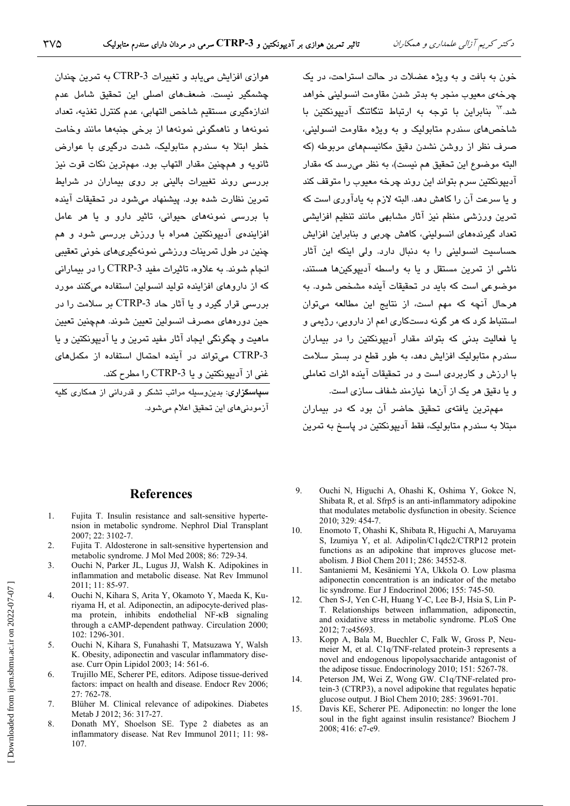خون به بافت و به ویژه عضلات در حالت استراحت، در یک چرخهی معیوب منجر به بدتر شدن مقاومت انسولینی خواهد شد.<sup>٦</sup>۳ بنابراین با توجه به ارتباط تنگاتنگ آدبیونکتین با شاخصهای سندرم متابولیک و به ویژه مقاومت انسولینی، صرف نظر از روشن نشدن دقیق مکانیسمهای مربوطه (که البته موضوع این تحقیق هم نیست)، به نظر میرسد که مقدار آدیپونکتین سرم بتواند این روند چرخه معیوب را متوقف کند و يا سرعت آن را كاهش دهد. البته لازم به يادآوري است كه تمرین ورزشی منظم نیز آثار مشابهی مانند تنظیم افزایشی تعداد گیرندههای انسولینی، کاهش چربی و بنابراین افزایش حساسیت انسولینی را به دنبال دارد. ولی اینکه این آثار .<br>ناشه از تمرین مستقل و یا به واسطه آدیپوکینها هستند، موضوعی است که باید در تحقیقات آینده مشخص شود. به هرحال آنچه که مهم است، از نتایج این مطالعه میتوان استن<mark>اط کرد که هر گونه دستکاری اعم از دارویی، رژیمی</mark> و یا فعالیت بدنی که بتواند مقدار آدیپونکتین را در بیماران سندرم متابولیک افزایش دهد، به طور قطع در بستر سلامت با ارزش و کاربردی است و در تحقیقات آینده اثرات تعاملی و يا دقيق هر يک از آنها نيازمند شفاف سازی است.

مهمترین یافتهی تحقیق حاضر آن بود که در بیماران میتلا به سندرم متابولیک، فقط آدیپونکتین در پاسخ به تمرین

# هوازي افزايش مي يابد و تغييرات CTRP-3 به تمرين چندان چشمگیر نیست. ضعفهای اصلی این تحقیق شامل عدم اندازهگیری مستقیم شاخص التهابی، عدم کنترل تغذیه، تعداد نمونهها و ناهمگونی نمونهها از برخی جنبهها مانند وخامت خطر ابتلا به سندرم متابولیک، شدت درگیری با عوارض ثانويه و همچنين مقدار التهاب بود. مهمترين نكات قوت نيز بررسی روند تغییرات بالینی بر روی بیماران در شرایط تمرين نظارت شده بود. پيشنهاد مي شود در تحقيقات آينده یا پررسی نمودههای حیوانی، تاثیر دارو و یا هر عامل افزایندهی آدیپونکتین همراه با ورزش بررسی شود و هم چنين در طول تمرينات ورزشي نمونهگيريهاي خوني تعقيبي انجام شوند. به علاوه، تاثيرات مفيد CTRP-3 را در بيماراني که از داروهای افزاینده تولید انسولین استفاده میکنند مورد بررسی قرار گیرد و یا آثار حاد CTRP-3 بر سلامت را در ِ<br>حين دوردهاي مصرف انسولين تعيين شوند. همچنين تعيين ماهيت و چگونگي ايجاد آثار مفيد تمرين و يا آديپونکتين و يا CTRP-3 می تواند در آینده احتمال استفاده از مکملهای غنی از آدیونکتین و یا CTRP-3 را مطرح کند.

<mark>سپاسگزاری</mark>: بدینوسیله مراتب تشکر و قدردانی از همکاری کلیه آزمودني هاي اين تحقيق اعلام مي شود.

## **References**

- 1. Fujita T. Insulin resistance and salt-sensitive hypertension in metabolic syndrome. Nephrol Dial Transplant  $2007 \cdot 22 \cdot 3102 - 7$
- 2. Fujita T. Aldosterone in salt-sensitive hypertension and metabolic syndrome. J Mol Med 2008; 86: 729-34.
- Ouchi N, Parker JL, Lugus JJ, Walsh K. Adipokines in  $3.$ inflammation and metabolic disease. Nat Rev Immunol 2011: 11: 85-97.
- $\overline{4}$ Ouchi N, Kihara S, Arita Y, Okamoto Y, Maeda K, Kuriyama H, et al. Adiponectin, an adipocyte-derived plasma protein, inhibits endothelial NF-KB signaling through a cAMP-dependent pathway. Circulation 2000; 102: 1296-301.
- $5<sub>1</sub>$ Ouchi N, Kihara S, Funahashi T, Matsuzawa Y, Walsh K. Obesity, adiponectin and vascular inflammatory disease. Curr Opin Lipidol 2003; 14: 561-6.
- 6. Trujillo ME, Scherer PE, editors. Adipose tissue-derived factors: impact on health and disease. Endocr Rev 2006; 27: 762-78.
- 7. Blüher M. Clinical relevance of adipokines. Diabetes Metab J 2012; 36: 317-27.
- 8. Donath MY, Shoelson SE. Type 2 diabetes as an inflammatory disease. Nat Rev Immunol 2011; 11: 98-107.
- 9. Ouchi N, Higuchi A, Ohashi K, Oshima Y, Gokce N, Shibata R, et al. Sfrp5 is an anti-inflammatory adipokine that modulates metabolic dysfunction in obesity. Science 2010; 329: 454-7.
- $10<sub>1</sub>$ Enomoto T, Ohashi K, Shibata R, Higuchi A, Maruyama S. Izumiya Y, et al. Adipolin/C1qdc2/CTRP12 protein functions as an adipokine that improves glucose metabolism. J Biol Chem 2011; 286: 34552-8.
- $11.$ Santaniemi M, Kesäniemi YA, Ukkola O. Low plasma adiponectin concentration is an indicator of the metabo lic syndrome. Eur J Endocrinol 2006; 155: 745-50.
- Chen S-J, Yen C-H, Huang Y-C, Lee B-J, Hsia S, Lin P- $12<sup>12</sup>$ T. Relationships between inflammation, adiponectin, and oxidative stress in metabolic syndrome. PLoS One 2012: 7:e45693.
- Kopp A, Bala M, Buechler C, Falk W, Gross P, Neu-13. meier M, et al. C1q/TNF-related protein-3 represents a novel and endogenous lipopolysaccharide antagonist of the adipose tissue. Endocrinology 2010: 151: 5267-78.
- $14$ Peterson JM, Wei Z, Wong GW. C1q/TNF-related protein-3 (CTRP3), a novel adipokine that regulates hepatic glucose output. J Biol Chem 2010; 285: 39691-701.
- 15. Davis KE, Scherer PE. Adiponectin: no longer the lone soul in the fight against insulin resistance? Biochem J 2008: 416: e7-e9.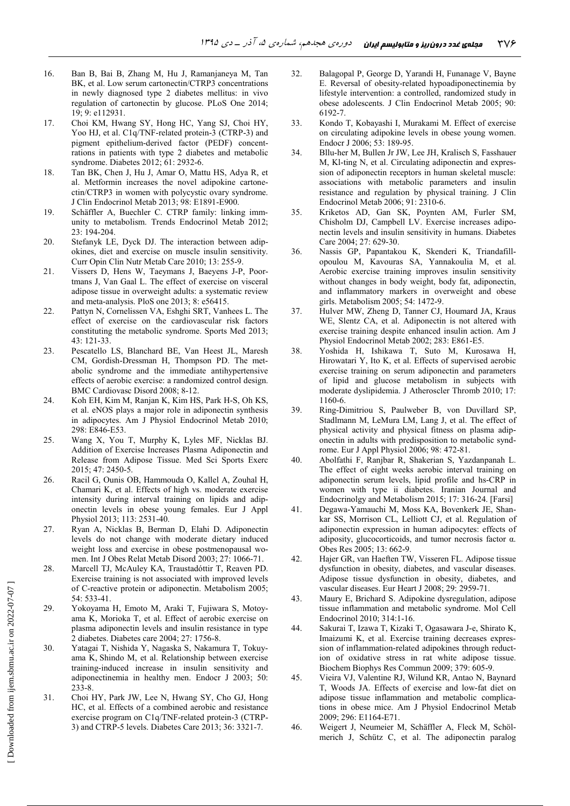- 16. Ban B, Bai B, Zhang M, Hu J, Ramanjaneya M, Tan BK, et al. Low serum cartonectin/CTRP3 concentrations in newly diagnosed type 2 diabetes mellitus: in vivo regulation of cartonectin by glucose. PLoS One 2014; 19; 9: e112931.
- 17. Choi KM, Hwang SY, Hong HC, Yang SJ, Choi HY, Yoo HJ, et al. C1q/TNF-related protein-3 (CTRP-3) and pigment epithelium-derived factor (PEDF) concentrations in patients with type 2 diabetes and metabolic syndrome. Diabetes 2012; 61: 2932-6.
- 18. Tan BK, Chen J, Hu J, Amar O, Mattu HS, Adya R, et al. Metformin increases the novel adipokine cartonectin/CTRP3 in women with polycystic ovary syndrome. J Clin Endocrinol Metab 2013; 98: E1891-E900.
- 19. Schäffler A, Buechler C. CTRP family: linking immunity to metabolism. Trends Endocrinol Metab 2012; 23: 194-204.
- 20. Stefanyk LE, Dyck DJ. The interaction between adipokines, diet and exercise on muscle insulin sensitivity. Curr Opin Clin Nutr Metab Care 2010; 13: 255-9.
- 21. Vissers D, Hens W, Taeymans J, Baeyens J-P, Poortmans J, Van Gaal L. The effect of exercise on visceral adipose tissue in overweight adults: a systematic review and meta-analysis. PloS one 2013; 8: e56415.
- 22. Pattyn N, Cornelissen VA, Eshghi SRT, Vanhees L. The effect of exercise on the cardiovascular risk factors constituting the metabolic syndrome. Sports Med 2013; 43: 121-33.
- 23. Pescatello LS, Blanchard BE, Van Heest JL, Maresh CM, Gordish-Dressman H, Thompson PD. The metabolic syndrome and the immediate antihypertensive effects of aerobic exercise: a randomized control design. BMC Cardiovasc Disord 2008; 8-12.
- 24. Koh EH, Kim M, Ranjan K, Kim HS, Park H-S, Oh KS, et al. eNOS plays a major role in adiponectin synthesis in adipocytes. Am J Physiol Endocrinol Metab 2010; 298: E846-E53.
- 25. Wang X, You T, Murphy K, Lyles MF, Nicklas BJ. Addition of Exercise Increases Plasma Adiponectin and Release from Adipose Tissue. Med Sci Sports Exerc 2015; 47: 2450-5.
- 26. Racil G, Ounis OB, Hammouda O, Kallel A, Zouhal H, Chamari K, et al. Effects of high vs. moderate exercise intensity during interval training on lipids and adiponectin levels in obese young females. Eur J Appl Physiol 2013; 113: 2531-40.
- 27. Ryan A, Nicklas B, Berman D, Elahi D. Adiponectin levels do not change with moderate dietary induced weight loss and exercise in obese postmenopausal women. Int J Obes Relat Metab Disord 2003; 27: 1066-71.
- 28. Marcell TJ, McAuley KA, Traustadóttir T, Reaven PD. Exercise training is not associated with improved levels of C-reactive protein or adiponectin. Metabolism 2005; 54: 533-41.
- 29. Yokoyama H, Emoto M, Araki T, Fujiwara S, Motoyama K, Morioka T, et al. Effect of aerobic exercise on plasma adiponectin levels and insulin resistance in type 2 diabetes. Diabetes care 2004; 27: 1756-8.
- 30. Yatagai T, Nishida Y, Nagaska S, Nakamura T, Tokuyama K, Shindo M, et al. Relationship between exercise training-induced increase in insulin sensitivity and adiponectinemia in healthy men. Endocr J 2003; 50: 233-8.
- 31. Choi HY, Park JW, Lee N, Hwang SY, Cho GJ, Hong HC, et al. Effects of a combined aerobic and resistance exercise program on C1q/TNF-related protein-3 (CTRP-3) and CTRP-5 levels. Diabetes Care 2013; 36: 3321-7.
- 32. Balagopal P, George D, Yarandi H, Funanage V, Bayne E. Reversal of obesity-related hypoadiponectinemia by lifestyle intervention: a controlled, randomized study in obese adolescents. J Clin Endocrinol Metab 2005; 90: 6192-7.
- 33. Kondo T, Kobayashi I, Murakami M. Effect of exercise on circulating adipokine levels in obese young women. Endocr J 2006; 53: 189-95.
- 34. Bllu-her M, Bullen Jr JW, Lee JH, Kralisch S, Fasshauer M, Kl-ting N, et al. Circulating adiponectin and expression of adiponectin receptors in human skeletal muscle: associations with metabolic parameters and insulin resistance and regulation by physical training. J Clin Endocrinol Metab 2006; 91: 2310-6.
- 35. Kriketos AD, Gan SK, Poynten AM, Furler SM, Chisholm DJ, Campbell LV. Exercise increases adiponectin levels and insulin sensitivity in humans. Diabetes Care 2004; 27: 629-30.
- 36. Nassis GP, Papantakou K, Skenderi K, Triandafillopoulou M, Kavouras SA, Yannakoulia M, et al. Aerobic exercise training improves insulin sensitivity without changes in body weight, body fat, adiponectin, and inflammatory markers in overweight and obese girls. Metabolism 2005; 54: 1472-9.
- 37. Hulver MW, Zheng D, Tanner CJ, Houmard JA, Kraus WE, Slentz CA, et al. Adiponectin is not altered with exercise training despite enhanced insulin action. Am J Physiol Endocrinol Metab 2002; 283: E861-E5.
- 38. Yoshida H, Ishikawa T, Suto M, Kurosawa H, Hirowatari Y, Ito K, et al. Effects of supervised aerobic exercise training on serum adiponectin and parameters of lipid and glucose metabolism in subjects with moderate dyslipidemia. J Atheroscler Thromb 2010; 17: 1160-6.
- 39. Ring-Dimitriou S, Paulweber B, von Duvillard SP, Stadlmann M, LeMura LM, Lang J, et al. The effect of physical activity and physical fitness on plasma adiponectin in adults with predisposition to metabolic syndrome. Eur J Appl Physiol 2006; 98: 472-81.
- 40. Abolfathi F, Ranjbar R, Shakerian S, Yazdanpanah L. The effect of eight weeks aerobic interval training on adiponectin serum levels, lipid profile and hs-CRP in women with type ii diabetes. Iranian Journal and Endocrinolgy and Metabolism 2015; 17: 316-24. [Farsi]
- 41. Degawa-Yamauchi M, Moss KA, Bovenkerk JE, Shankar SS, Morrison CL, Lelliott CJ, et al. Regulation of adiponectin expression in human adipocytes: effects of adiposity, glucocorticoids, and tumor necrosis factor  $\alpha$ . Obes Res 2005; 13: 662-9.
- 42. Hajer GR, van Haeften TW, Visseren FL. Adipose tissue dysfunction in obesity, diabetes, and vascular diseases. Adipose tissue dysfunction in obesity, diabetes, and vascular diseases. Eur Heart J 2008; 29: 2959-71.
- 43. Maury E, Brichard S. Adipokine dysregulation, adipose tissue inflammation and metabolic syndrome. Mol Cell Endocrinol 2010; 314:1-16.
- 44. Sakurai T, Izawa T, Kizaki T, Ogasawara J-e, Shirato K, Imaizumi K, et al. Exercise training decreases expression of inflammation-related adipokines through reduction of oxidative stress in rat white adipose tissue. Biochem Biophys Res Commun 2009; 379: 605-9.
- 45. Vieira VJ, Valentine RJ, Wilund KR, Antao N, Baynard T, Woods JA. Effects of exercise and low-fat diet on adipose tissue inflammation and metabolic complications in obese mice. Am J Physiol Endocrinol Metab 2009; 296: E1164-E71.
- 46. Weigert J, Neumeier M, Schäffler A, Fleck M, Schölmerich J, Schütz C, et al. The adiponectin paralog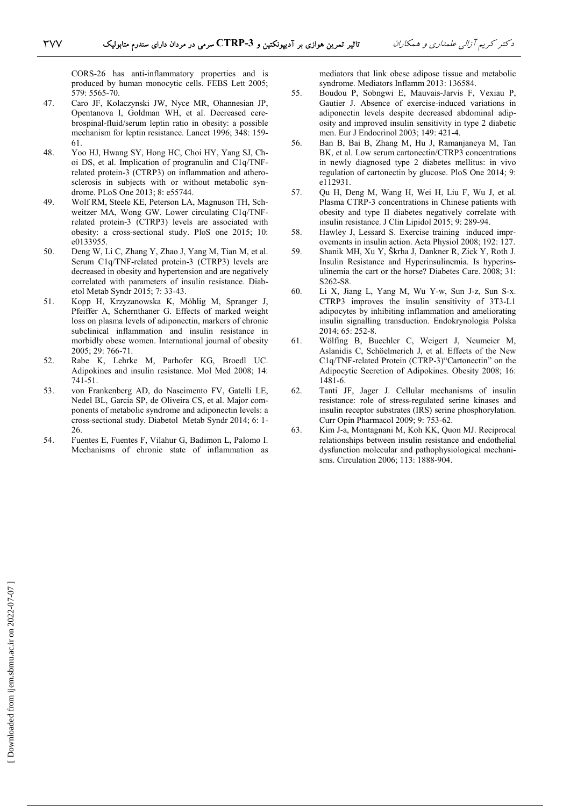CORS-26 has anti-inflammatory properties and is produced by human monocytic cells. FEBS Lett 2005; 579: 5565-70.

- 47. Caro JF, Kolaczynski JW, Nyce MR, Ohannesian JP, Opentanova I, Goldman WH, et al. Decreased cerebrospinal-fluid/serum leptin ratio in obesity: a possible mechanism for leptin resistance. Lancet 1996; 348: 159- 61.
- 48. Yoo HJ, Hwang SY, Hong HC, Choi HY, Yang SJ, Choi DS, et al. Implication of progranulin and C1q/TNFrelated protein-3 (CTRP3) on inflammation and atherosclerosis in subjects with or without metabolic syndrome. PLoS One 2013; 8: e55744.
- 49. Wolf RM, Steele KE, Peterson LA, Magnuson TH, Schweitzer MA, Wong GW. Lower circulating C1q/TNFrelated protein-3 (CTRP3) levels are associated with obesity: a cross-sectional study. PloS one 2015; 10: e0133955.
- 50. Deng W, Li C, Zhang Y, Zhao J, Yang M, Tian M, et al. Serum C1q/TNF-related protein-3 (CTRP3) levels are decreased in obesity and hypertension and are negatively correlated with parameters of insulin resistance. Diabetol Metab Syndr 2015; 7: 33-43.
- 51. Kopp H, Krzyzanowska K, Möhlig M, Spranger J, Pfeiffer A, Schernthaner G. Effects of marked weight loss on plasma levels of adiponectin, markers of chronic subclinical inflammation and insulin resistance in morbidly obese women. International journal of obesity 2005; 29: 766-71.
- 52. Rabe K, Lehrke M, Parhofer KG, Broedl UC. Adipokines and insulin resistance. Mol Med 2008; 14: 741-51.
- 53. von Frankenberg AD, do Nascimento FV, Gatelli LE, Nedel BL, Garcia SP, de Oliveira CS, et al. Major components of metabolic syndrome and adiponectin levels: a cross-sectional study. Diabetol Metab Syndr 2014; 6: 1- 26.
- 54. Fuentes E, Fuentes F, Vilahur G, Badimon L, Palomo I. Mechanisms of chronic state of inflammation as

mediators that link obese adipose tissue and metabolic syndrome. Mediators Inflamm 2013: 136584.

- 55. Boudou P, Sobngwi E, Mauvais-Jarvis F, Vexiau P, Gautier J. Absence of exercise-induced variations in adiponectin levels despite decreased abdominal adiposity and improved insulin sensitivity in type 2 diabetic men. Eur J Endocrinol 2003; 149: 421-4.
- 56. Ban B, Bai B, Zhang M, Hu J, Ramanjaneya M, Tan BK, et al. Low serum cartonectin/CTRP3 concentrations in newly diagnosed type 2 diabetes mellitus: in vivo regulation of cartonectin by glucose. PloS One 2014; 9: e112931.
- 57. Qu H, Deng M, Wang H, Wei H, Liu F, Wu J, et al. Plasma CTRP-3 concentrations in Chinese patients with obesity and type II diabetes negatively correlate with insulin resistance. J Clin Lipidol 2015; 9: 289-94.
- 58. Hawley J, Lessard S. Exercise training induced improvements in insulin action. Acta Physiol 2008; 192: 127.
- 59. Shanik MH, Xu Y, Škrha J, Dankner R, Zick Y, Roth J. Insulin Resistance and Hyperinsulinemia. Is hyperinsulinemia the cart or the horse? Diabetes Care. 2008; 31: S262-S8.
- 60. Li X, Jiang L, Yang M, Wu Y-w, Sun J-z, Sun S-x. CTRP3 improves the insulin sensitivity of 3T3-L1 adipocytes by inhibiting inflammation and ameliorating insulin signalling transduction. Endokrynologia Polska 2014; 65: 252-8.
- 61. Wölfing B, Buechler C, Weigert J, Neumeier M, Aslanidis C, Schöelmerich J, et al. Effects of the New C1q/TNF-related Protein (CTRP-3)"Cartonectin" on the Adipocytic Secretion of Adipokines. Obesity 2008; 16: 1481-6.
- 62. Tanti JF, Jager J. Cellular mechanisms of insulin resistance: role of stress-regulated serine kinases and insulin receptor substrates (IRS) serine phosphorylation. Curr Opin Pharmacol 2009; 9: 753-62.
- 63. Kim J-a, Montagnani M, Koh KK, Quon MJ. Reciprocal relationships between insulin resistance and endothelial dysfunction molecular and pathophysiological mechanisms. Circulation 2006; 113: 1888-904.